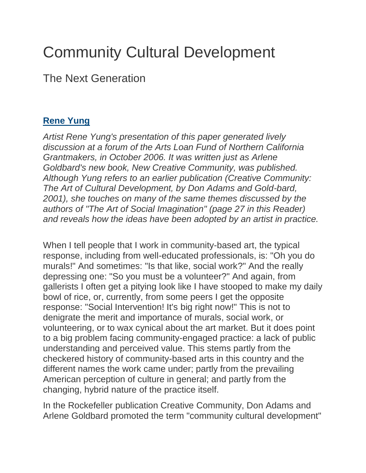## Community Cultural Development

The Next Generation

## **[Rene Yung](https://www.giarts.org/category/authors/rene-yung)**

*Artist Rene Yung's presentation of this paper generated lively discussion at a forum of the Arts Loan Fund of Northern California Grantmakers, in October 2006. It was written just as Arlene Goldbard's new book, New Creative Community, was published. Although Yung refers to an earlier publication (Creative Community: The Art of Cultural Development, by Don Adams and Gold-bard, 2001), she touches on many of the same themes discussed by the authors of "The Art of Social Imagination" (page 27 in this Reader) and reveals how the ideas have been adopted by an artist in practice.*

When I tell people that I work in community-based art, the typical response, including from well-educated professionals, is: "Oh you do murals!" And sometimes: "Is that like, social work?" And the really depressing one: "So you must be a volunteer?" And again, from gallerists I often get a pitying look like I have stooped to make my daily bowl of rice, or, currently, from some peers I get the opposite response: "Social Intervention! It's big right now!" This is not to denigrate the merit and importance of murals, social work, or volunteering, or to wax cynical about the art market. But it does point to a big problem facing community-engaged practice: a lack of public understanding and perceived value. This stems partly from the checkered history of community-based arts in this country and the different names the work came under; partly from the prevailing American perception of culture in general; and partly from the changing, hybrid nature of the practice itself.

In the Rockefeller publication Creative Community, Don Adams and Arlene Goldbard promoted the term "community cultural development"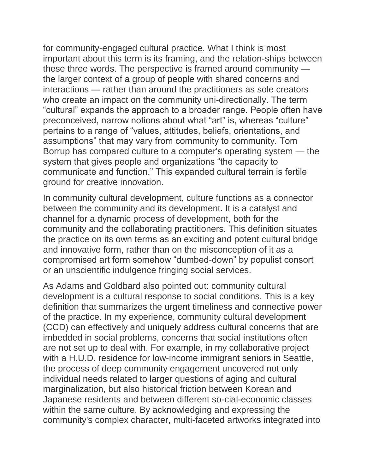for community-engaged cultural practice. What I think is most important about this term is its framing, and the relation-ships between these three words. The perspective is framed around community the larger context of a group of people with shared concerns and interactions — rather than around the practitioners as sole creators who create an impact on the community uni-directionally. The term "cultural" expands the approach to a broader range. People often have preconceived, narrow notions about what "art" is, whereas "culture" pertains to a range of "values, attitudes, beliefs, orientations, and assumptions" that may vary from community to community. Tom Borrup has compared culture to a computer's operating system — the system that gives people and organizations "the capacity to communicate and function." This expanded cultural terrain is fertile ground for creative innovation.

In community cultural development, culture functions as a connector between the community and its development. It is a catalyst and channel for a dynamic process of development, both for the community and the collaborating practitioners. This definition situates the practice on its own terms as an exciting and potent cultural bridge and innovative form, rather than on the misconception of it as a compromised art form somehow "dumbed-down" by populist consort or an unscientific indulgence fringing social services.

As Adams and Goldbard also pointed out: community cultural development is a cultural response to social conditions. This is a key definition that summarizes the urgent timeliness and connective power of the practice. In my experience, community cultural development (CCD) can effectively and uniquely address cultural concerns that are imbedded in social problems, concerns that social institutions often are not set up to deal with. For example, in my collaborative project with a H.U.D. residence for low-income immigrant seniors in Seattle, the process of deep community engagement uncovered not only individual needs related to larger questions of aging and cultural marginalization, but also historical friction between Korean and Japanese residents and between different so-cial-economic classes within the same culture. By acknowledging and expressing the community's complex character, multi-faceted artworks integrated into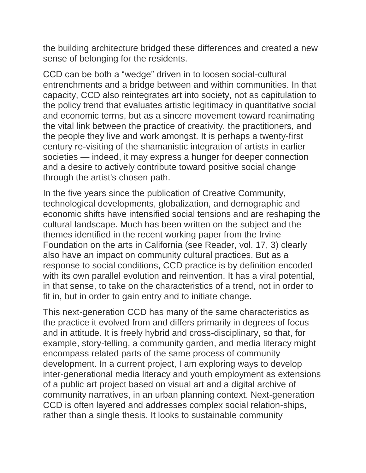the building architecture bridged these differences and created a new sense of belonging for the residents.

CCD can be both a "wedge" driven in to loosen social-cultural entrenchments and a bridge between and within communities. In that capacity, CCD also reintegrates art into society, not as capitulation to the policy trend that evaluates artistic legitimacy in quantitative social and economic terms, but as a sincere movement toward reanimating the vital link between the practice of creativity, the practitioners, and the people they live and work amongst. It is perhaps a twenty-first century re-visiting of the shamanistic integration of artists in earlier societies — indeed, it may express a hunger for deeper connection and a desire to actively contribute toward positive social change through the artist's chosen path.

In the five years since the publication of Creative Community, technological developments, globalization, and demographic and economic shifts have intensified social tensions and are reshaping the cultural landscape. Much has been written on the subject and the themes identified in the recent working paper from the Irvine Foundation on the arts in California (see Reader, vol. 17, 3) clearly also have an impact on community cultural practices. But as a response to social conditions, CCD practice is by definition encoded with its own parallel evolution and reinvention. It has a viral potential, in that sense, to take on the characteristics of a trend, not in order to fit in, but in order to gain entry and to initiate change.

This next-generation CCD has many of the same characteristics as the practice it evolved from and differs primarily in degrees of focus and in attitude. It is freely hybrid and cross-disciplinary, so that, for example, story-telling, a community garden, and media literacy might encompass related parts of the same process of community development. In a current project, I am exploring ways to develop inter-generational media literacy and youth employment as extensions of a public art project based on visual art and a digital archive of community narratives, in an urban planning context. Next-generation CCD is often layered and addresses complex social relation-ships, rather than a single thesis. It looks to sustainable community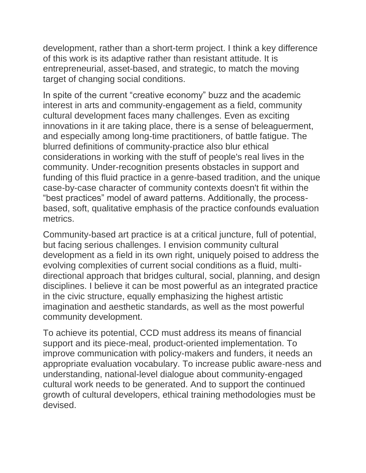development, rather than a short-term project. I think a key difference of this work is its adaptive rather than resistant attitude. It is entrepreneurial, asset-based, and strategic, to match the moving target of changing social conditions.

In spite of the current "creative economy" buzz and the academic interest in arts and community-engagement as a field, community cultural development faces many challenges. Even as exciting innovations in it are taking place, there is a sense of beleaguerment, and especially among long-time practitioners, of battle fatigue. The blurred definitions of community-practice also blur ethical considerations in working with the stuff of people's real lives in the community. Under-recognition presents obstacles in support and funding of this fluid practice in a genre-based tradition, and the unique case-by-case character of community contexts doesn't fit within the "best practices" model of award patterns. Additionally, the processbased, soft, qualitative emphasis of the practice confounds evaluation metrics.

Community-based art practice is at a critical juncture, full of potential, but facing serious challenges. I envision community cultural development as a field in its own right, uniquely poised to address the evolving complexities of current social conditions as a fluid, multidirectional approach that bridges cultural, social, planning, and design disciplines. I believe it can be most powerful as an integrated practice in the civic structure, equally emphasizing the highest artistic imagination and aesthetic standards, as well as the most powerful community development.

To achieve its potential, CCD must address its means of financial support and its piece-meal, product-oriented implementation. To improve communication with policy-makers and funders, it needs an appropriate evaluation vocabulary. To increase public aware-ness and understanding, national-level dialogue about community-engaged cultural work needs to be generated. And to support the continued growth of cultural developers, ethical training methodologies must be devised.